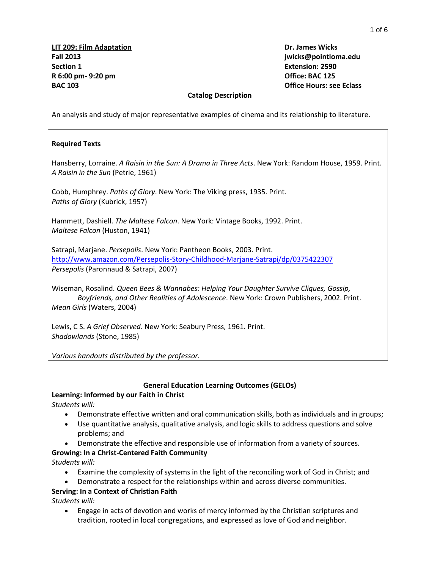#### **Catalog Description**

An analysis and study of major representative examples of cinema and its relationship to literature.

#### **Required Texts**

Hansberry, Lorraine. *A Raisin in the Sun: A Drama in Three Acts*. New York: Random House, 1959. Print. *A Raisin in the Sun* (Petrie, 1961)

Cobb, Humphrey. *Paths of Glory*. New York: The Viking press, 1935. Print. *Paths of Glory* (Kubrick, 1957)

Hammett, Dashiell. *The Maltese Falcon*. New York: Vintage Books, 1992. Print. *Maltese Falcon* (Huston, 1941)

Satrapi, Marjane. *Persepolis*. New York: Pantheon Books, 2003. Print. <http://www.amazon.com/Persepolis-Story-Childhood-Marjane-Satrapi/dp/0375422307> *Persepolis* (Paronnaud & Satrapi, 2007)

Wiseman, Rosalind. *Queen Bees & Wannabes: Helping Your Daughter Survive Cliques, Gossip, Boyfriends, and Other Realities of Adolescence*. New York: Crown Publishers, 2002. Print. *Mean Girls* (Waters, 2004)

Lewis, C S. *A Grief Observed*. New York: Seabury Press, 1961. Print. *Shadowlands* (Stone, 1985)

*Various handouts distributed by the professor.*

## **General Education Learning Outcomes (GELOs)**

## **Learning: Informed by our Faith in Christ**

*Students will:*

- Demonstrate effective written and oral communication skills, both as individuals and in groups;
- Use quantitative analysis, qualitative analysis, and logic skills to address questions and solve problems; and
- Demonstrate the effective and responsible use of information from a variety of sources.

# **Growing: In a Christ-Centered Faith Community**

*Students will:*

- Examine the complexity of systems in the light of the reconciling work of God in Christ; and
- Demonstrate a respect for the relationships within and across diverse communities.

## **Serving: In a Context of Christian Faith**

*Students will:*

 Engage in acts of devotion and works of mercy informed by the Christian scriptures and tradition, rooted in local congregations, and expressed as love of God and neighbor.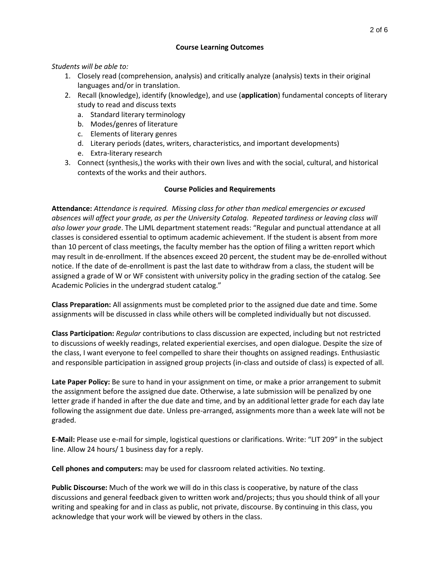## **Course Learning Outcomes**

## *Students will be able to:*

- 1. Closely read (comprehension, analysis) and critically analyze (analysis) texts in their original languages and/or in translation.
- 2. Recall (knowledge), identify (knowledge), and use (**application**) fundamental concepts of literary study to read and discuss texts
	- a. Standard literary terminology
	- b. Modes/genres of literature
	- c. Elements of literary genres
	- d. Literary periods (dates, writers, characteristics, and important developments)
	- e. Extra-literary research
- 3. Connect (synthesis,) the works with their own lives and with the social, cultural, and historical contexts of the works and their authors.

## **Course Policies and Requirements**

**Attendance:** *Attendance is required. Missing class for other than medical emergencies or excused absences will affect your grade, as per the University Catalog. Repeated tardiness or leaving class will also lower your grade*. The LJML department statement reads: "Regular and punctual attendance at all classes is considered essential to optimum academic achievement. If the student is absent from more than 10 percent of class meetings, the faculty member has the option of filing a written report which may result in de-enrollment. If the absences exceed 20 percent, the student may be de-enrolled without notice. If the date of de-enrollment is past the last date to withdraw from a class, the student will be assigned a grade of W or WF consistent with university policy in the grading section of the catalog. See Academic Policies in the undergrad student catalog."

**Class Preparation:** All assignments must be completed prior to the assigned due date and time. Some assignments will be discussed in class while others will be completed individually but not discussed.

**Class Participation:** *Regular* contributions to class discussion are expected, including but not restricted to discussions of weekly readings, related experiential exercises, and open dialogue. Despite the size of the class, I want everyone to feel compelled to share their thoughts on assigned readings. Enthusiastic and responsible participation in assigned group projects (in-class and outside of class) is expected of all.

**Late Paper Policy:** Be sure to hand in your assignment on time, or make a prior arrangement to submit the assignment before the assigned due date. Otherwise, a late submission will be penalized by one letter grade if handed in after the due date and time, and by an additional letter grade for each day late following the assignment due date. Unless pre-arranged, assignments more than a week late will not be graded.

**E-Mail:** Please use e-mail for simple, logistical questions or clarifications. Write: "LIT 209" in the subject line. Allow 24 hours/ 1 business day for a reply.

**Cell phones and computers:** may be used for classroom related activities. No texting.

**Public Discourse:** Much of the work we will do in this class is cooperative, by nature of the class discussions and general feedback given to written work and/projects; thus you should think of all your writing and speaking for and in class as public, not private, discourse. By continuing in this class, you acknowledge that your work will be viewed by others in the class.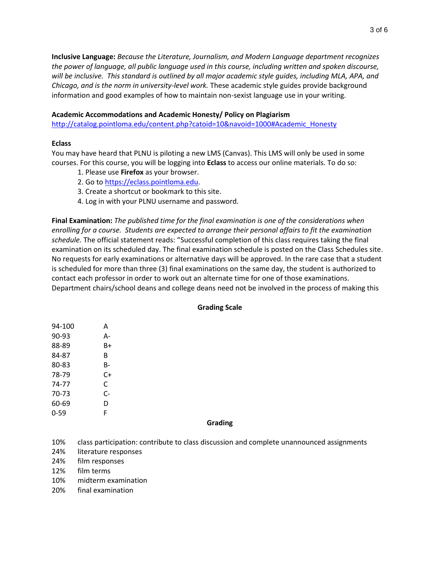**Inclusive Language:** *Because the Literature, Journalism, and Modern Language department recognizes the power of language, all public language used in this course, including written and spoken discourse, will be inclusive. This standard is outlined by all major academic style guides, including MLA, APA, and Chicago, and is the norm in university-level work.* These academic style guides provide background information and good examples of how to maintain non-sexist language use in your writing.

#### **Academic Accommodations and Academic Honesty/ Policy on Plagiarism**

[http://catalog.pointloma.edu/content.php?catoid=10&navoid=1000#Academic\\_Honesty](http://catalog.pointloma.edu/content.php?catoid=10&navoid=1000#Academic_Honesty)

#### **Eclass**

You may have heard that PLNU is piloting a new LMS (Canvas). This LMS will only be used in some courses. For this course, you will be logging into **Eclass** to access our online materials. To do so:

- 1. Please use **Firefox** as your browser.
- 2. Go to [https://eclass.pointloma.edu.](https://eclass.pointloma.edu/)
- 3. Create a shortcut or bookmark to this site.
- 4. Log in with your PLNU username and password.

**Final Examination:** *The published time for the final examination is one of the considerations when enrolling for a course. Students are expected to arrange their personal affairs to fit the examination schedule.* The official statement reads: "Successful completion of this class requires taking the final examination on its scheduled day. The final examination schedule is posted on the Class Schedules site. No requests for early examinations or alternative days will be approved. In the rare case that a student is scheduled for more than three (3) final examinations on the same day, the student is authorized to contact each professor in order to work out an alternate time for one of those examinations. Department chairs/school deans and college deans need not be involved in the process of making this

#### **Grading Scale**

| 94-100 | A  |
|--------|----|
| 90-93  | А- |
| 88-89  | B+ |
| 84-87  | R  |
| 80-83  | B- |
| 78-79  | C+ |
| 74-77  | C  |
| 70-73  | C- |
| 60-69  | D  |
| 0-59   | F  |
|        |    |

#### **Grading**

10% class participation: contribute to class discussion and complete unannounced assignments

- 24% literature responses
- 24% film responses
- 12% film terms
- 10% midterm examination
- 20% final examination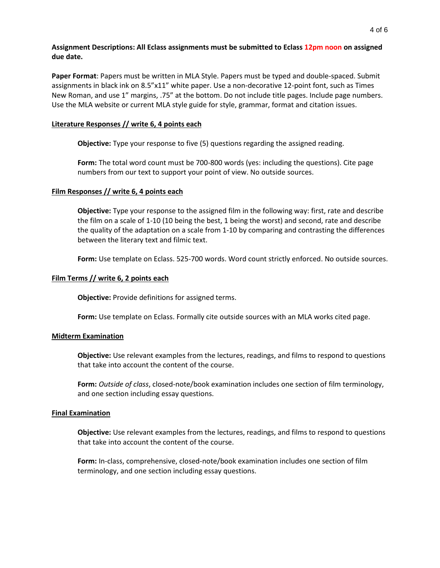**Assignment Descriptions: All Eclass assignments must be submitted to Eclass 12pm noon on assigned due date.** 

**Paper Format**: Papers must be written in MLA Style. Papers must be typed and double-spaced. Submit assignments in black ink on 8.5"x11" white paper. Use a non-decorative 12-point font, such as Times New Roman, and use 1" margins, .75" at the bottom. Do not include title pages. Include page numbers. Use the MLA website or current MLA style guide for style, grammar, format and citation issues.

#### **Literature Responses // write 6, 4 points each**

**Objective:** Type your response to five (5) questions regarding the assigned reading.

**Form:** The total word count must be 700-800 words (yes: including the questions). Cite page numbers from our text to support your point of view. No outside sources.

#### **Film Responses // write 6, 4 points each**

**Objective:** Type your response to the assigned film in the following way: first, rate and describe the film on a scale of 1-10 (10 being the best, 1 being the worst) and second, rate and describe the quality of the adaptation on a scale from 1-10 by comparing and contrasting the differences between the literary text and filmic text.

**Form:** Use template on Eclass. 525-700 words. Word count strictly enforced. No outside sources.

#### **Film Terms // write 6, 2 points each**

**Objective:** Provide definitions for assigned terms.

**Form:** Use template on Eclass. Formally cite outside sources with an MLA works cited page.

#### **Midterm Examination**

**Objective:** Use relevant examples from the lectures, readings, and films to respond to questions that take into account the content of the course.

**Form:** *Outside of class*, closed-note/book examination includes one section of film terminology, and one section including essay questions.

#### **Final Examination**

**Objective:** Use relevant examples from the lectures, readings, and films to respond to questions that take into account the content of the course.

**Form:** In-class, comprehensive, closed-note/book examination includes one section of film terminology, and one section including essay questions.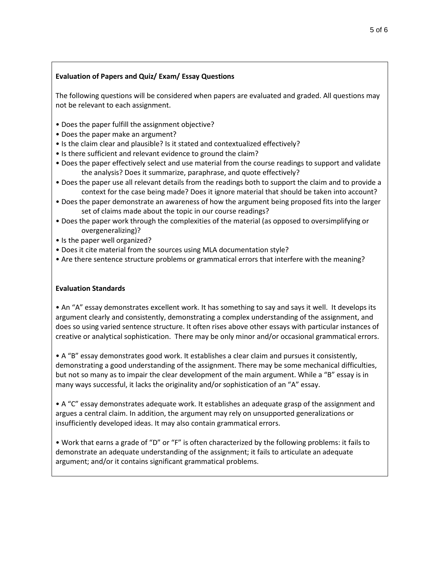## **Evaluation of Papers and Quiz/ Exam/ Essay Questions**

The following questions will be considered when papers are evaluated and graded. All questions may not be relevant to each assignment.

- Does the paper fulfill the assignment objective?
- Does the paper make an argument?
- Is the claim clear and plausible? Is it stated and contextualized effectively?
- Is there sufficient and relevant evidence to ground the claim?
- Does the paper effectively select and use material from the course readings to support and validate the analysis? Does it summarize, paraphrase, and quote effectively?
- Does the paper use all relevant details from the readings both to support the claim and to provide a context for the case being made? Does it ignore material that should be taken into account?
- Does the paper demonstrate an awareness of how the argument being proposed fits into the larger set of claims made about the topic in our course readings?
- Does the paper work through the complexities of the material (as opposed to oversimplifying or overgeneralizing)?
- Is the paper well organized?
- Does it cite material from the sources using MLA documentation style?
- Are there sentence structure problems or grammatical errors that interfere with the meaning?

## **Evaluation Standards**

• An "A" essay demonstrates excellent work. It has something to say and says it well. It develops its argument clearly and consistently, demonstrating a complex understanding of the assignment, and does so using varied sentence structure. It often rises above other essays with particular instances of creative or analytical sophistication. There may be only minor and/or occasional grammatical errors.

• A "B" essay demonstrates good work. It establishes a clear claim and pursues it consistently, demonstrating a good understanding of the assignment. There may be some mechanical difficulties, but not so many as to impair the clear development of the main argument. While a "B" essay is in many ways successful, it lacks the originality and/or sophistication of an "A" essay.

• A "C" essay demonstrates adequate work. It establishes an adequate grasp of the assignment and argues a central claim. In addition, the argument may rely on unsupported generalizations or insufficiently developed ideas. It may also contain grammatical errors.

• Work that earns a grade of "D" or "F" is often characterized by the following problems: it fails to demonstrate an adequate understanding of the assignment; it fails to articulate an adequate argument; and/or it contains significant grammatical problems.